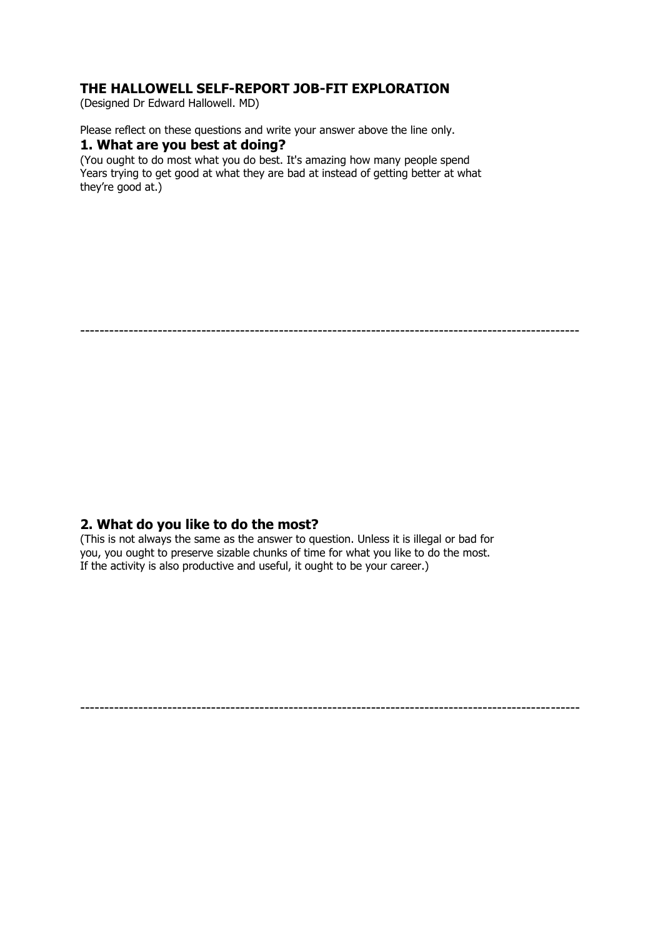# **THE HALLOWELL SELF-REPORT JOB-FIT EXPLORATION**

(Designed Dr Edward Hallowell. MD)

Please reflect on these questions and write your answer above the line only.

#### **1. What are you best at doing?**

(You ought to do most what you do best. It's amazing how many people spend Years trying to get good at what they are bad at instead of getting better at what they're good at.)

-------------------------------------------------------------------------------------------------------

### **2. What do you like to do the most?**

(This is not always the same as the answer to question. Unless it is illegal or bad for you, you ought to preserve sizable chunks of time for what you like to do the most. If the activity is also productive and useful, it ought to be your career.)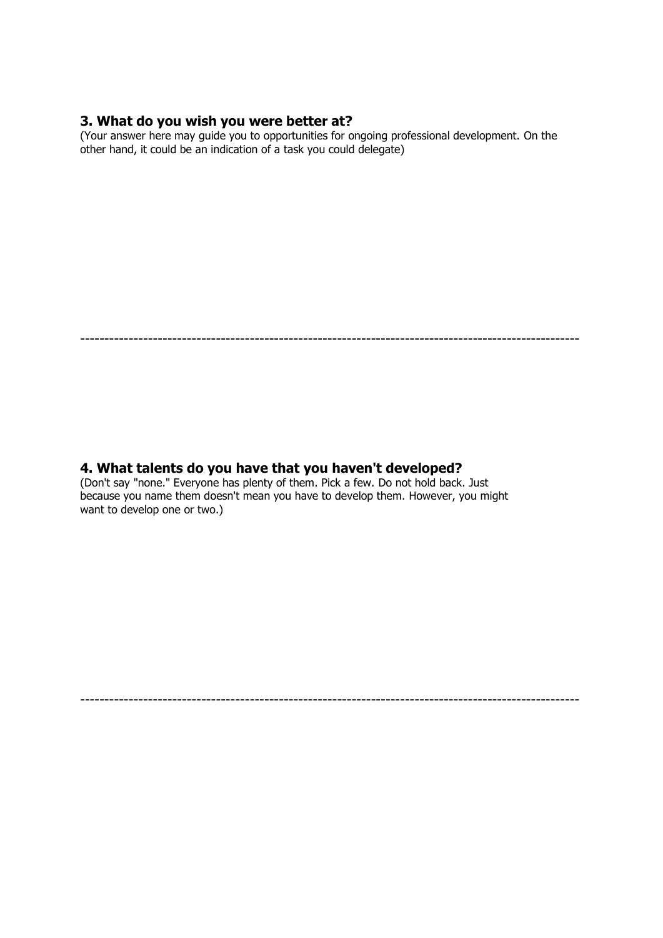# **3. What do you wish you were better at?**

(Your answer here may guide you to opportunities for ongoing professional development. On the other hand, it could be an indication of a task you could delegate)

-------------------------------------------------------------------------------------------------------

-------------------------------------------------------------------------------------------------------

### **4. What talents do you have that you haven't developed?**

(Don't say "none." Everyone has plenty of them. Pick a few. Do not hold back. Just because you name them doesn't mean you have to develop them. However, you might want to develop one or two.)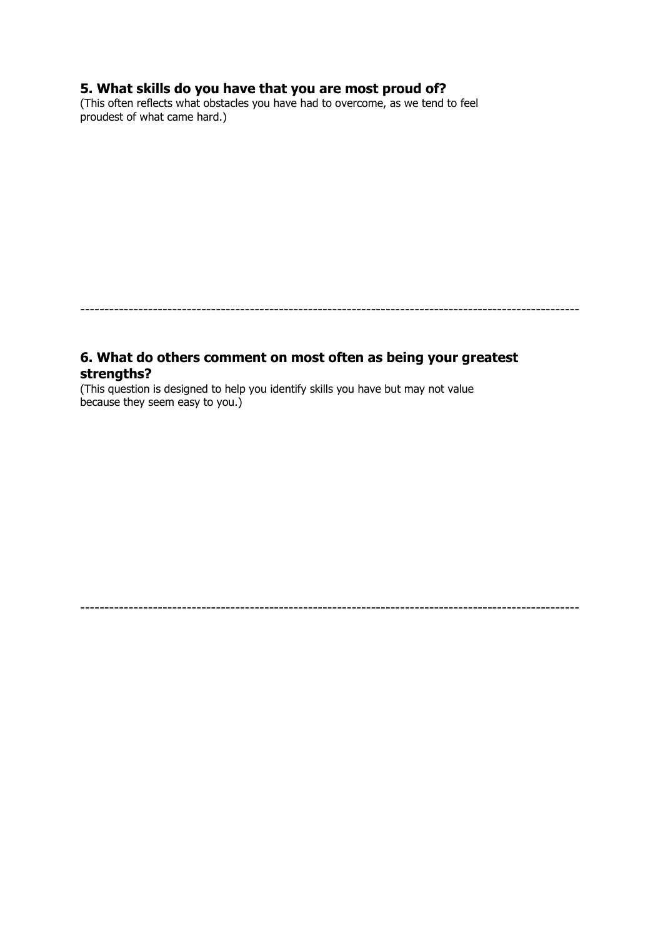# **5. What skills do you have that you are most proud of?**

(This often reflects what obstacles you have had to overcome, as we tend to feel proudest of what came hard.)

-------------------------------------------------------------------------------------------------------

-------------------------------------------------------------------------------------------------------

### **6. What do others comment on most often as being your greatest strengths?**

(This question is designed to help you identify skills you have but may not value because they seem easy to you.)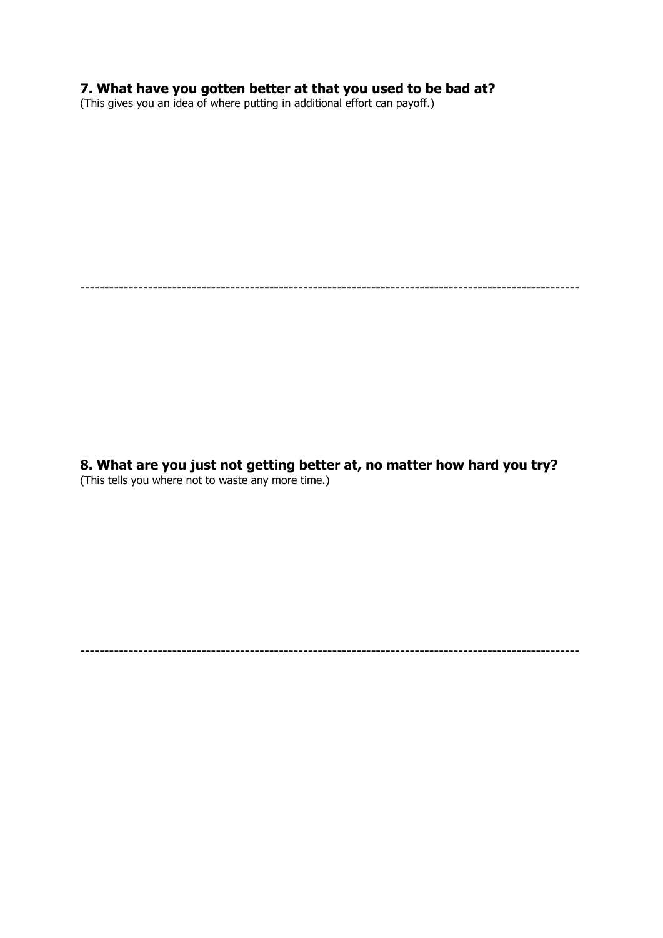#### **7. What have you gotten better at that you used to be bad at?**

(This gives you an idea of where putting in additional effort can payoff.)

-------------------------------------------------------------------------------------------------------

**8. What are you just not getting better at, no matter how hard you try?** (This tells you where not to waste any more time.)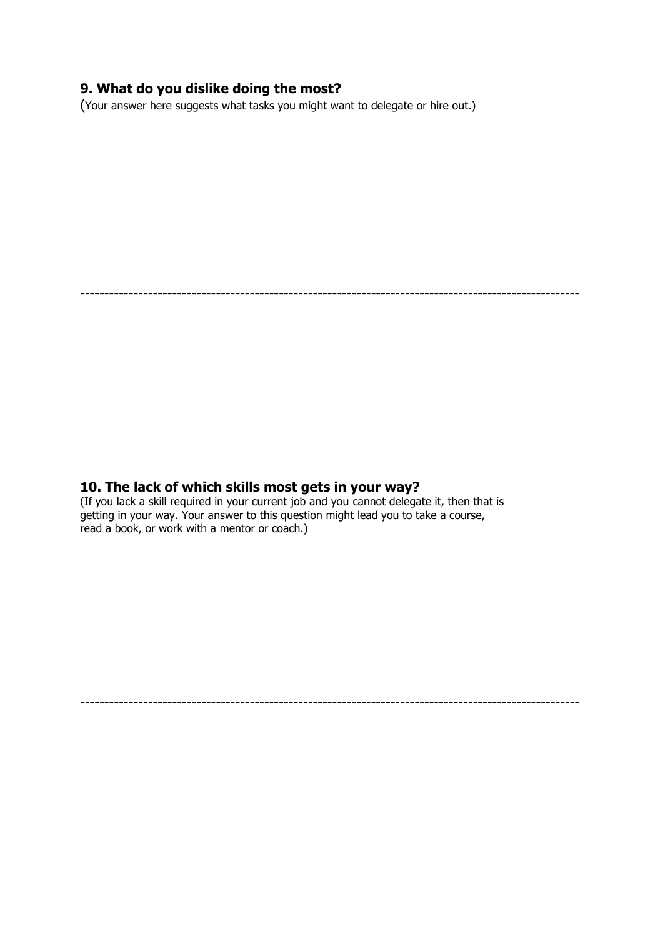# **9. What do you dislike doing the most?**

(Your answer here suggests what tasks you might want to delegate or hire out.)

-------------------------------------------------------------------------------------------------------

#### **10. The lack of which skills most gets in your way?**

(If you lack a skill required in your current job and you cannot delegate it, then that is getting in your way. Your answer to this question might lead you to take a course, read a book, or work with a mentor or coach.)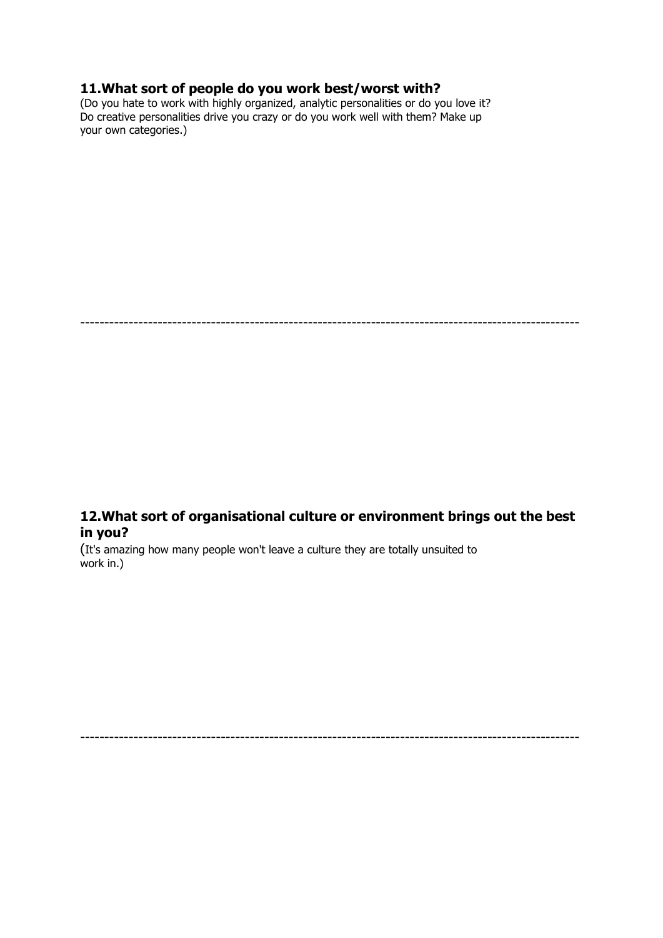## **11.What sort of people do you work best/worst with?**

(Do you hate to work with highly organized, analytic personalities or do you love it? Do creative personalities drive you crazy or do you work well with them? Make up your own categories.)

-------------------------------------------------------------------------------------------------------

# **12.What sort of organisational culture or environment brings out the best in you?**

(It's amazing how many people won't leave a culture they are totally unsuited to work in.)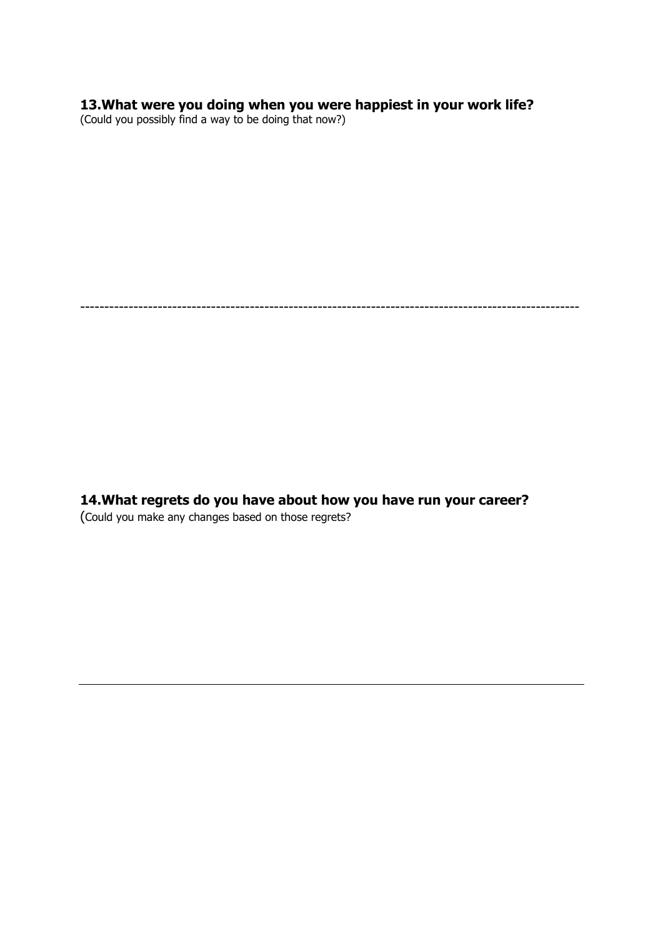### **13.What were you doing when you were happiest in your work life?**

(Could you possibly find a way to be doing that now?)

-------------------------------------------------------------------------------------------------------

**14.What regrets do you have about how you have run your career?** (Could you make any changes based on those regrets?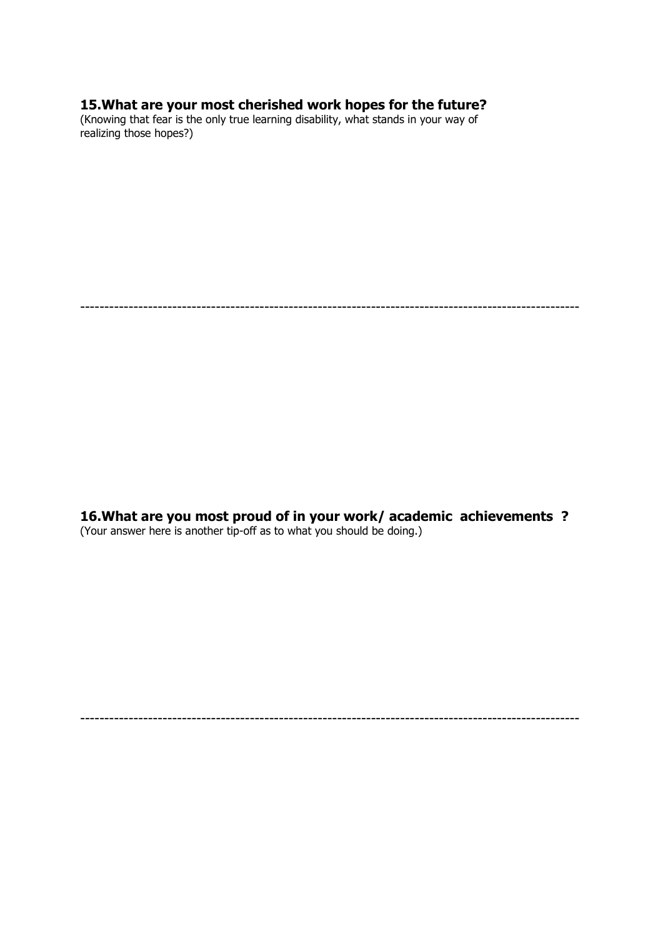#### **15.What are your most cherished work hopes for the future?**

(Knowing that fear is the only true learning disability, what stands in your way of realizing those hopes?)

-------------------------------------------------------------------------------------------------------

**16.What are you most proud of in your work/ academic achievements ?** (Your answer here is another tip-off as to what you should be doing.)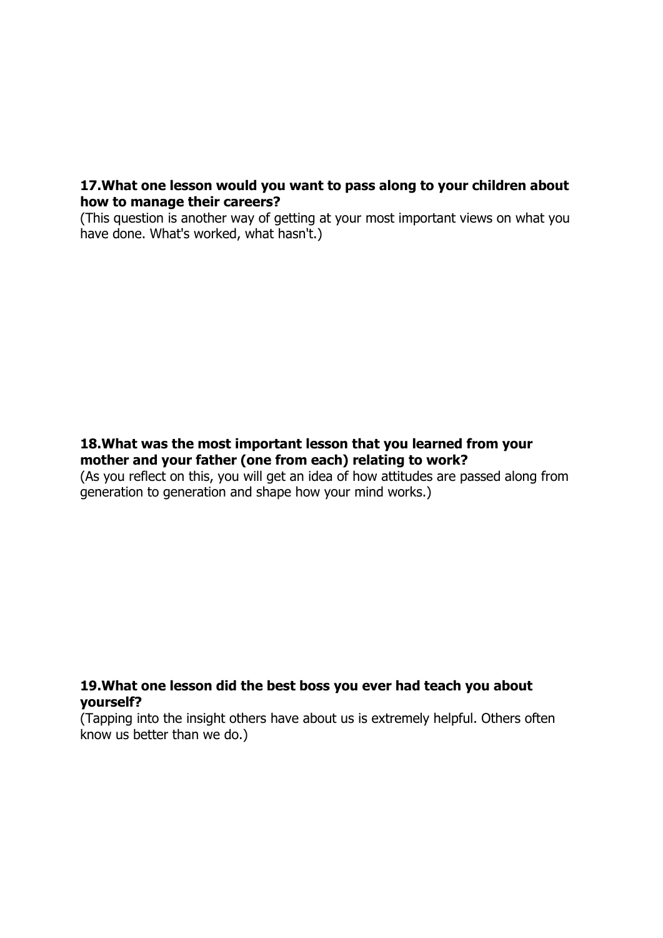### **17.What one lesson would you want to pass along to your children about how to manage their careers?**

(This question is another way of getting at your most important views on what you have done. What's worked, what hasn't.)

# **18.What was the most important lesson that you learned from your mother and your father (one from each) relating to work?**

(As you reflect on this, you will get an idea of how attitudes are passed along from generation to generation and shape how your mind works.)

# **19.What one lesson did the best boss you ever had teach you about yourself?**

(Tapping into the insight others have about us is extremely helpful. Others often know us better than we do.)